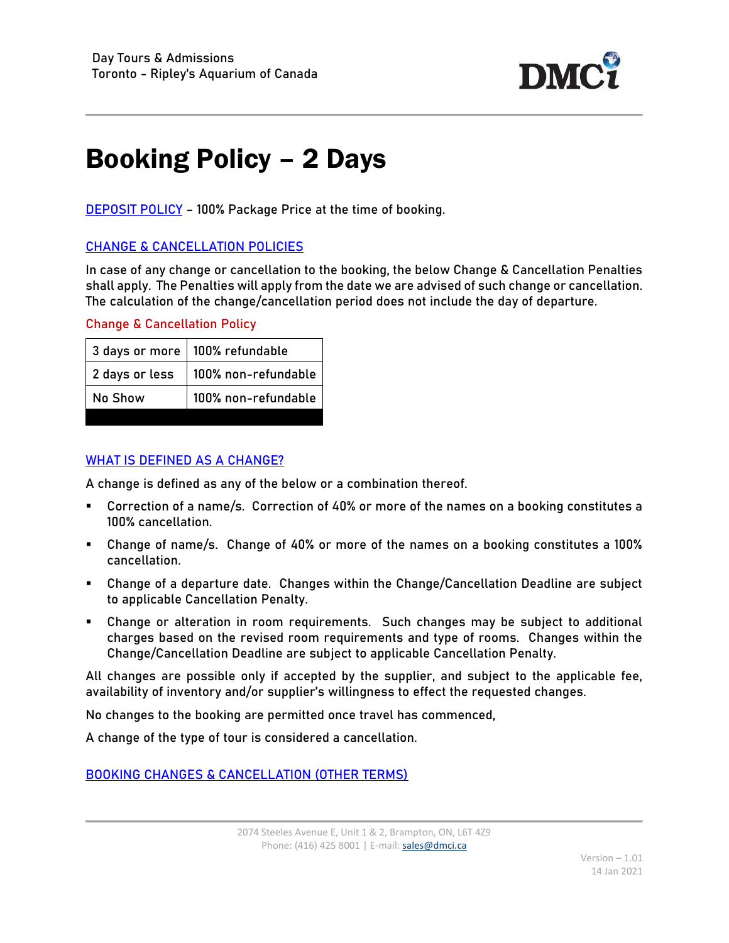

## Booking Policy – 2 Days

**DEPOSIT POLICY** - 100% Package Price at the time of booking.

## CHANGE & CANCELLATION POLICIES

In case of any change or cancellation to the booking, the below Change & Cancellation Penalties shall apply. The Penalties will apply from the date we are advised of such change or cancellation. The calculation of the change/cancellation period does not include the day of departure.

## Change & Cancellation Policy

| 3 days or more   100% refundable |
|----------------------------------|
| 100% non-refundable              |
| 100% non-refundable              |
|                                  |

## WHAT IS DEFINED AS A CHANGE?

A change is defined as any of the below or a combination thereof.

- Correction of a name/s. Correction of 40% or more of the names on a booking constitutes a 100% cancellation.
- Change of name/s. Change of 40% or more of the names on a booking constitutes a 100% cancellation.
- Change of a departure date. Changes within the Change/Cancellation Deadline are subject to applicable Cancellation Penalty.
- Change or alteration in room requirements. Such changes may be subject to additional charges based on the revised room requirements and type of rooms. Changes within the Change/Cancellation Deadline are subject to applicable Cancellation Penalty.

All changes are possible only if accepted by the supplier, and subject to the applicable fee, availability of inventory and/or supplier's willingness to effect the requested changes.

No changes to the booking are permitted once travel has commenced,

A change of the type of tour is considered a cancellation.

BOOKING CHANGES & CANCELLATION (OTHER TERMS)